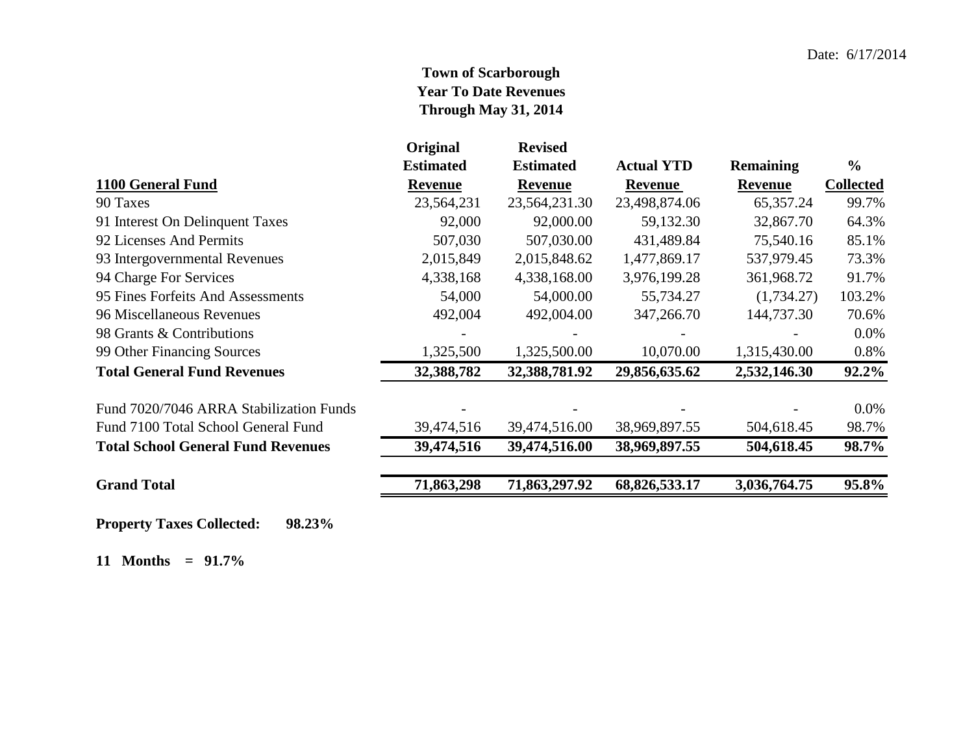## **Town of Scarborough Year To Date Revenues Through May 31, 2014**

|                                           | Original         | <b>Revised</b>   |                   |                  |                  |
|-------------------------------------------|------------------|------------------|-------------------|------------------|------------------|
|                                           | <b>Estimated</b> | <b>Estimated</b> | <b>Actual YTD</b> | <b>Remaining</b> | $\frac{0}{0}$    |
| 1100 General Fund                         | <b>Revenue</b>   | <b>Revenue</b>   | <b>Revenue</b>    | <b>Revenue</b>   | <b>Collected</b> |
| 90 Taxes                                  | 23,564,231       | 23,564,231.30    | 23,498,874.06     | 65, 357. 24      | 99.7%            |
| 91 Interest On Delinquent Taxes           | 92,000           | 92,000.00        | 59,132.30         | 32,867.70        | 64.3%            |
| 92 Licenses And Permits                   | 507,030          | 507,030.00       | 431,489.84        | 75,540.16        | 85.1%            |
| 93 Intergovernmental Revenues             | 2,015,849        | 2,015,848.62     | 1,477,869.17      | 537,979.45       | 73.3%            |
| 94 Charge For Services                    | 4,338,168        | 4,338,168.00     | 3,976,199.28      | 361,968.72       | 91.7%            |
| 95 Fines Forfeits And Assessments         | 54,000           | 54,000.00        | 55,734.27         | (1,734.27)       | 103.2%           |
| 96 Miscellaneous Revenues                 | 492,004          | 492,004.00       | 347,266.70        | 144,737.30       | 70.6%            |
| 98 Grants & Contributions                 |                  |                  |                   |                  | $0.0\%$          |
| 99 Other Financing Sources                | 1,325,500        | 1,325,500.00     | 10,070.00         | 1,315,430.00     | 0.8%             |
| <b>Total General Fund Revenues</b>        | 32,388,782       | 32,388,781.92    | 29,856,635.62     | 2,532,146.30     | 92.2%            |
| Fund 7020/7046 ARRA Stabilization Funds   |                  |                  |                   |                  | $0.0\%$          |
| Fund 7100 Total School General Fund       | 39,474,516       | 39,474,516.00    | 38,969,897.55     | 504,618.45       | 98.7%            |
| <b>Total School General Fund Revenues</b> | 39,474,516       | 39,474,516.00    | 38,969,897.55     | 504,618.45       | 98.7%            |
| <b>Grand Total</b>                        | 71,863,298       | 71,863,297.92    | 68,826,533.17     | 3,036,764.75     | 95.8%            |
|                                           |                  |                  |                   |                  |                  |

**Property Taxes Collected: 98.23%**

**11 Months = 91.7%**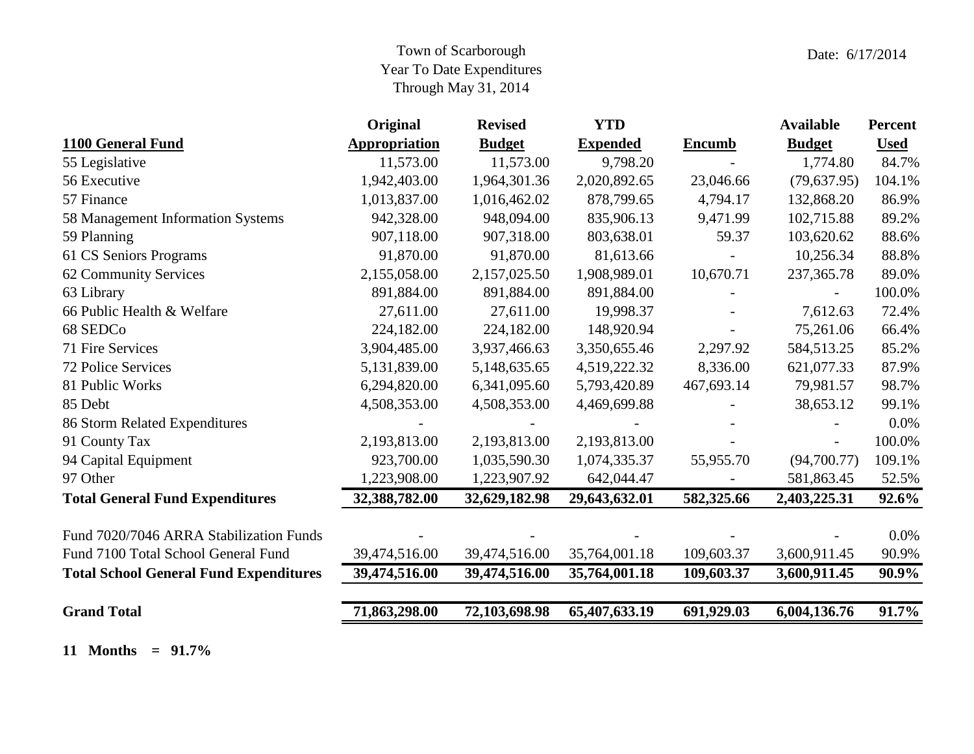## Town of Scarborough Year To Date Expenditures Through May 31, 2014

|                                               | Original             | <b>Revised</b> | <b>YTD</b>      |               | <b>Available</b> | <b>Percent</b> |
|-----------------------------------------------|----------------------|----------------|-----------------|---------------|------------------|----------------|
| 1100 General Fund                             | <b>Appropriation</b> | <b>Budget</b>  | <b>Expended</b> | <b>Encumb</b> | <b>Budget</b>    | <b>Used</b>    |
| 55 Legislative                                | 11,573.00            | 11,573.00      | 9,798.20        |               | 1,774.80         | 84.7%          |
| 56 Executive                                  | 1,942,403.00         | 1,964,301.36   | 2,020,892.65    | 23,046.66     | (79,637.95)      | 104.1%         |
| 57 Finance                                    | 1,013,837.00         | 1,016,462.02   | 878,799.65      | 4,794.17      | 132,868.20       | 86.9%          |
| 58 Management Information Systems             | 942,328.00           | 948,094.00     | 835,906.13      | 9,471.99      | 102,715.88       | 89.2%          |
| 59 Planning                                   | 907,118.00           | 907,318.00     | 803,638.01      | 59.37         | 103,620.62       | 88.6%          |
| 61 CS Seniors Programs                        | 91,870.00            | 91,870.00      | 81,613.66       |               | 10,256.34        | 88.8%          |
| 62 Community Services                         | 2,155,058.00         | 2,157,025.50   | 1,908,989.01    | 10,670.71     | 237, 365. 78     | 89.0%          |
| 63 Library                                    | 891,884.00           | 891,884.00     | 891,884.00      |               |                  | 100.0%         |
| 66 Public Health & Welfare                    | 27,611.00            | 27,611.00      | 19,998.37       |               | 7,612.63         | 72.4%          |
| 68 SEDCo                                      | 224,182.00           | 224,182.00     | 148,920.94      |               | 75,261.06        | 66.4%          |
| 71 Fire Services                              | 3,904,485.00         | 3,937,466.63   | 3,350,655.46    | 2,297.92      | 584,513.25       | 85.2%          |
| 72 Police Services                            | 5,131,839.00         | 5,148,635.65   | 4,519,222.32    | 8,336.00      | 621,077.33       | 87.9%          |
| 81 Public Works                               | 6,294,820.00         | 6,341,095.60   | 5,793,420.89    | 467,693.14    | 79,981.57        | 98.7%          |
| 85 Debt                                       | 4,508,353.00         | 4,508,353.00   | 4,469,699.88    |               | 38,653.12        | 99.1%          |
| 86 Storm Related Expenditures                 |                      |                |                 |               |                  | 0.0%           |
| 91 County Tax                                 | 2,193,813.00         | 2,193,813.00   | 2,193,813.00    |               |                  | 100.0%         |
| 94 Capital Equipment                          | 923,700.00           | 1,035,590.30   | 1,074,335.37    | 55,955.70     | (94,700.77)      | 109.1%         |
| 97 Other                                      | 1,223,908.00         | 1,223,907.92   | 642,044.47      |               | 581,863.45       | 52.5%          |
| <b>Total General Fund Expenditures</b>        | 32,388,782.00        | 32,629,182.98  | 29,643,632.01   | 582,325.66    | 2,403,225.31     | 92.6%          |
| Fund 7020/7046 ARRA Stabilization Funds       |                      |                |                 |               |                  | 0.0%           |
| Fund 7100 Total School General Fund           | 39,474,516.00        | 39,474,516.00  | 35,764,001.18   | 109,603.37    | 3,600,911.45     | 90.9%          |
| <b>Total School General Fund Expenditures</b> | 39,474,516.00        | 39,474,516.00  | 35,764,001.18   | 109,603.37    | 3,600,911.45     | 90.9%          |
|                                               |                      |                |                 |               |                  |                |
| <b>Grand Total</b>                            | 71,863,298.00        | 72,103,698.98  | 65,407,633.19   | 691,929.03    | 6,004,136.76     | 91.7%          |

**11 Months = 91.7%**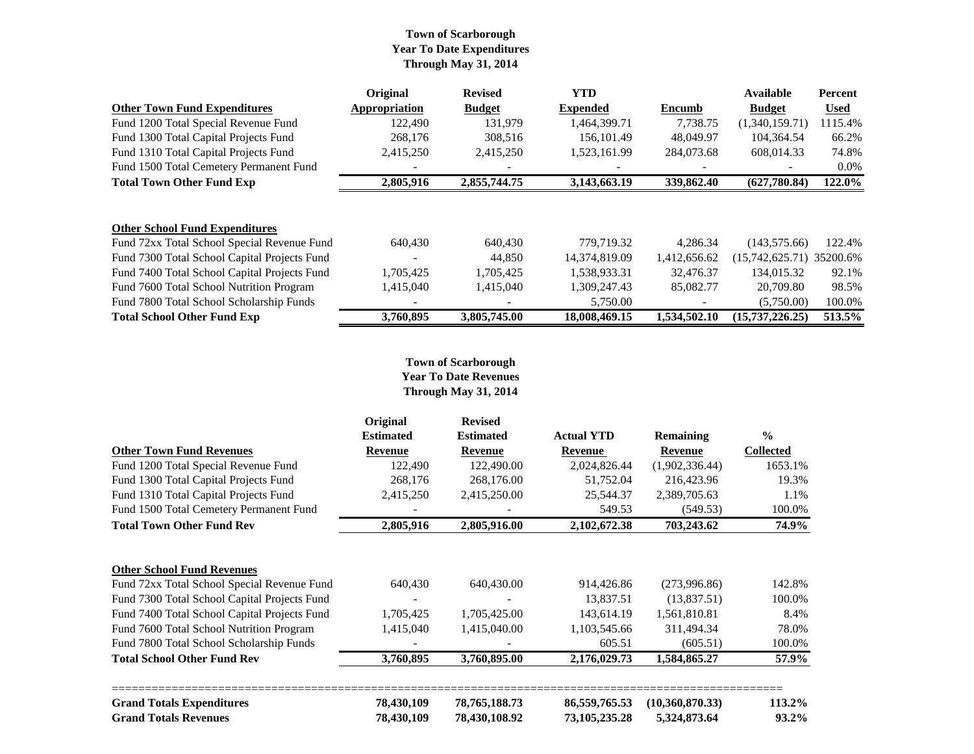#### **Town of Scarborough Year To Date Expenditures Through May 31, 2014**

|                                              | Original                 | <b>Revised</b>           | <b>YTD</b>      |              | Available                  | Percent     |
|----------------------------------------------|--------------------------|--------------------------|-----------------|--------------|----------------------------|-------------|
| <b>Other Town Fund Expenditures</b>          | Appropriation            | <b>Budget</b>            | <b>Expended</b> | Encumb       | <b>Budget</b>              | <b>Used</b> |
| Fund 1200 Total Special Revenue Fund         | 122.490                  | 131.979                  | 1,464,399.71    | 7,738.75     | (1,340,159.71)             | 1115.4%     |
| Fund 1300 Total Capital Projects Fund        | 268,176                  | 308,516                  | 156,101.49      | 48,049.97    | 104,364.54                 | 66.2%       |
| Fund 1310 Total Capital Projects Fund        | 2,415,250                | 2,415,250                | 1,523,161.99    | 284,073.68   | 608,014.33                 | 74.8%       |
| Fund 1500 Total Cemetery Permanent Fund      |                          |                          |                 |              |                            | $0.0\%$     |
| <b>Total Town Other Fund Exp</b>             | 2,805,916                | 2,855,744.75             | 3,143,663.19    | 339,862.40   | (627,780.84)               | 122.0%      |
| <b>Other School Fund Expenditures</b>        |                          |                          |                 |              |                            |             |
| Fund 72xx Total School Special Revenue Fund  | 640,430                  | 640,430                  | 779,719.32      | 4.286.34     | (143, 575, 66)             | 122.4%      |
| Fund 7300 Total School Capital Projects Fund | $\overline{\phantom{a}}$ | 44,850                   | 14,374,819.09   | 1,412,656.62 | $(15,742,625.71)$ 35200.6% |             |
| Fund 7400 Total School Capital Projects Fund | 1,705,425                | 1,705,425                | 1,538,933.31    | 32,476.37    | 134,015.32                 | 92.1%       |
| Fund 7600 Total School Nutrition Program     | 1,415,040                | 1,415,040                | 1,309,247.43    | 85,082.77    | 20,709.80                  | 98.5%       |
| Fund 7800 Total School Scholarship Funds     | $\overline{\phantom{a}}$ | $\overline{\phantom{a}}$ | 5,750.00        |              | (5,750.00)                 | 100.0%      |
| <b>Total School Other Fund Exp</b>           | 3,760,895                | 3,805,745.00             | 18,008,469.15   | 1.534.502.10 | (15, 737, 226.25)          | 513.5%      |

#### **Town of Scarborough Year To Date Revenues Through May 31, 2014**

|                                              | Original           | <b>Revised</b>           |                   |                  |                                      |
|----------------------------------------------|--------------------|--------------------------|-------------------|------------------|--------------------------------------|
|                                              | <b>Estimated</b>   | <b>Estimated</b>         | <b>Actual YTD</b> | <b>Remaining</b> | $\frac{0}{0}$                        |
| <b>Other Town Fund Revenues</b>              | <b>Revenue</b>     | <b>Revenue</b>           | Revenue           | Revenue          | <b>Collected</b><br>1653.1%<br>19.3% |
| Fund 1200 Total Special Revenue Fund         | 122,490<br>268,176 | 122,490.00<br>268,176.00 | 2,024,826.44      | (1,902,336.44)   |                                      |
| Fund 1300 Total Capital Projects Fund        |                    |                          | 51,752.04         | 216,423.96       |                                      |
| Fund 1310 Total Capital Projects Fund        | 2,415,250          | 2,415,250.00             | 25,544.37         | 2,389,705.63     | 1.1%                                 |
| Fund 1500 Total Cemetery Permanent Fund      |                    |                          | 549.53            | (549.53)         | 100.0%                               |
| <b>Total Town Other Fund Rev</b>             | 2,805,916          | 2,805,916.00             | 2,102,672.38      | 703,243.62       | 74.9%                                |
| <b>Other School Fund Revenues</b>            |                    |                          |                   |                  |                                      |
| Fund 72xx Total School Special Revenue Fund  | 640,430            | 640,430.00               | 914,426.86        | (273,996.86)     | 142.8%                               |
| Fund 7300 Total School Capital Projects Fund |                    |                          | 13,837.51         | (13,837.51)      | 100.0%                               |
| Fund 7400 Total School Capital Projects Fund | 1,705,425          | 1,705,425.00             | 143,614.19        | 1,561,810.81     | 8.4%                                 |
| Fund 7600 Total School Nutrition Program     | 1,415,040          | 1,415,040.00             | 1,103,545.66      | 311,494.34       | 78.0%                                |
| Fund 7800 Total School Scholarship Funds     |                    |                          | 605.51            | (605.51)         | 100.0%                               |
| <b>Total School Other Fund Rev</b>           | 3,760,895          | 3,760,895.00             | 2,176,029.73      | 1,584,865.27     | 57.9%                                |
| <b>Grand Totals Expenditures</b>             | 78,430,109         | 78, 765, 188. 73         | 86, 559, 765. 53  | (10,360,870.33)  | 113.2%                               |
| <b>Grand Totals Revenues</b>                 | 78,430,109         | 78,430,108.92            | 73, 105, 235. 28  | 5,324,873.64     | 93.2%                                |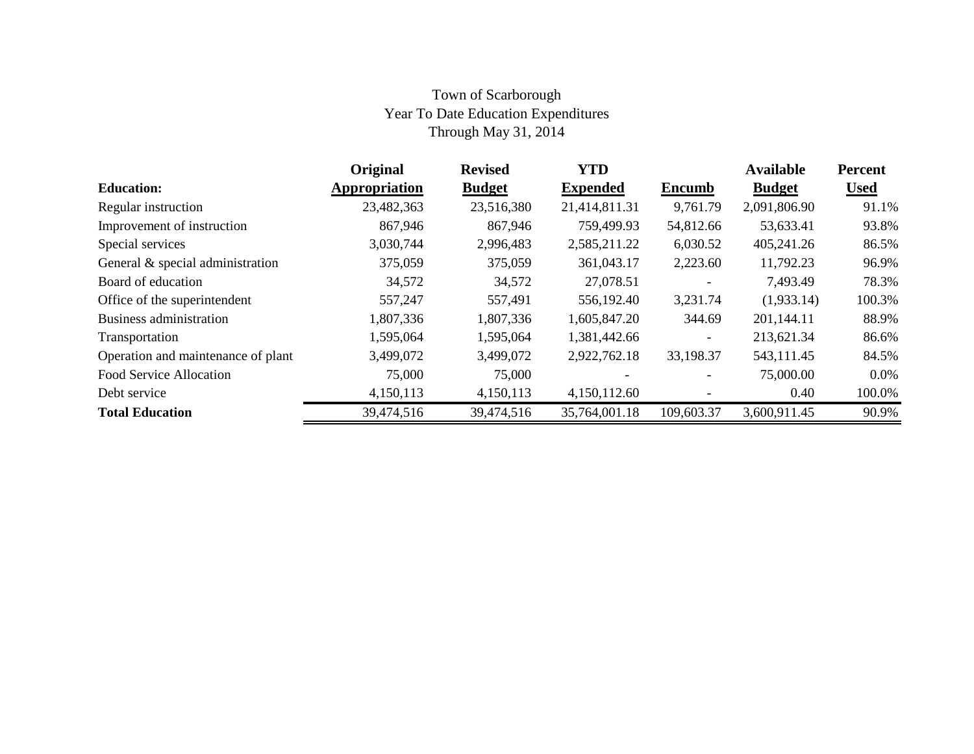# Town of Scarborough Year To Date Education Expenditures Through May 31, 2014

|                                    | Original      | <b>Revised</b> | <b>YTD</b>      |                          | <b>Available</b> | <b>Percent</b> |
|------------------------------------|---------------|----------------|-----------------|--------------------------|------------------|----------------|
| <b>Education:</b>                  | Appropriation | <b>Budget</b>  | <b>Expended</b> | <b>Encumb</b>            | <b>Budget</b>    | <b>Used</b>    |
| Regular instruction                | 23,482,363    | 23,516,380     | 21,414,811.31   | 9,761.79                 | 2,091,806.90     | 91.1%          |
| Improvement of instruction         | 867,946       | 867,946        | 759,499.93      | 54,812.66                | 53,633.41        | 93.8%          |
| Special services                   | 3,030,744     | 2,996,483      | 2,585,211.22    | 6,030.52                 | 405,241.26       | 86.5%          |
| General & special administration   | 375,059       | 375,059        | 361,043.17      | 2,223.60                 | 11,792.23        | 96.9%          |
| Board of education                 | 34,572        | 34,572         | 27,078.51       | $\overline{\phantom{a}}$ | 7,493.49         | 78.3%          |
| Office of the superintendent       | 557,247       | 557,491        | 556,192.40      | 3,231.74                 | (1,933.14)       | 100.3%         |
| Business administration            | 1,807,336     | 1,807,336      | 1,605,847.20    | 344.69                   | 201,144.11       | 88.9%          |
| Transportation                     | 1,595,064     | 1,595,064      | 1,381,442.66    | $\overline{\phantom{0}}$ | 213,621.34       | 86.6%          |
| Operation and maintenance of plant | 3,499,072     | 3,499,072      | 2,922,762.18    | 33,198.37                | 543,111.45       | 84.5%          |
| <b>Food Service Allocation</b>     | 75,000        | 75,000         |                 |                          | 75,000.00        | $0.0\%$        |
| Debt service                       | 4,150,113     | 4,150,113      | 4,150,112.60    |                          | 0.40             | 100.0%         |
| <b>Total Education</b>             | 39,474,516    | 39,474,516     | 35,764,001.18   | 109,603.37               | 3,600,911.45     | 90.9%          |